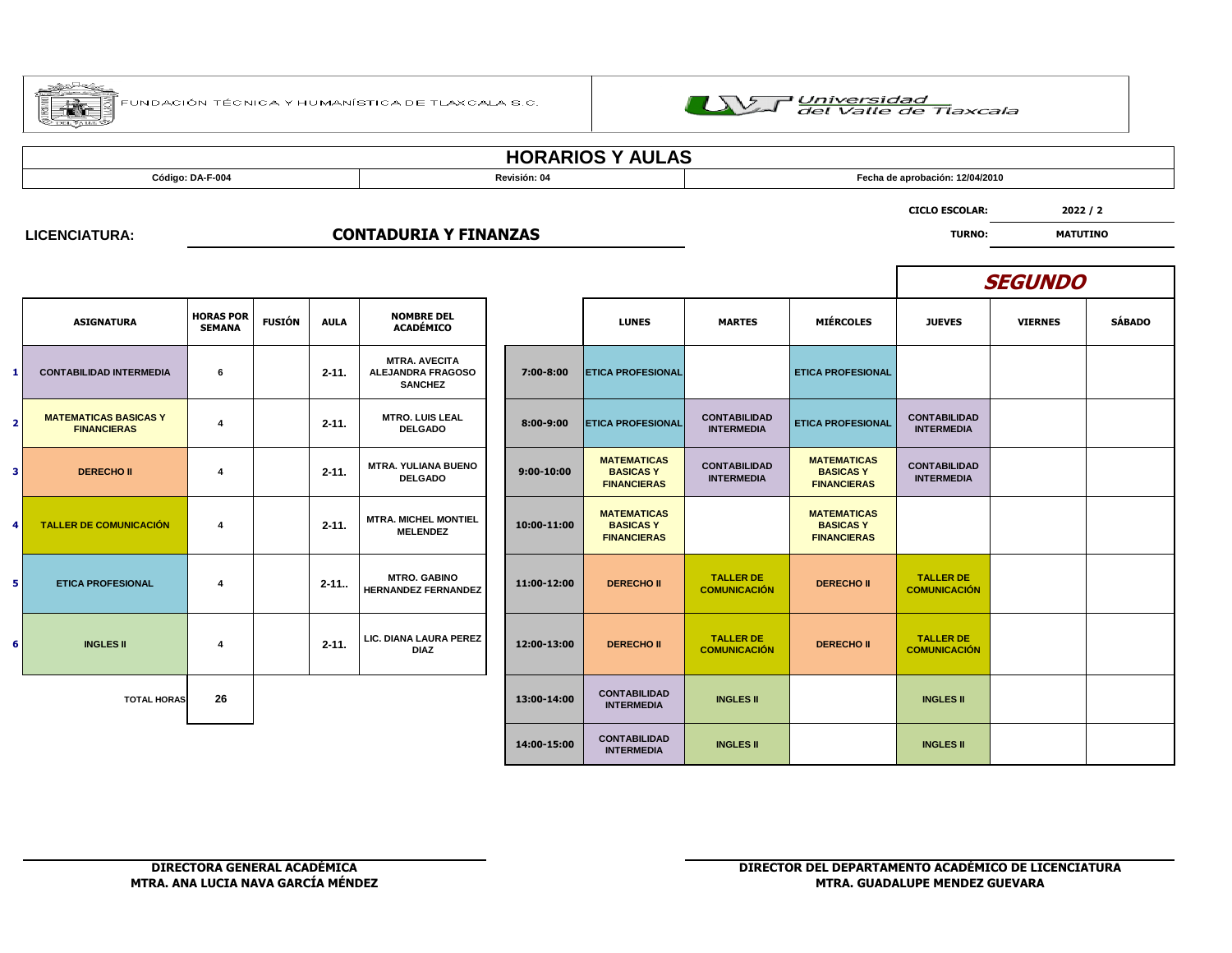



## **HORARIOS Y AULAS**

**Código: DA-F-004 Revisión: 04 Fecha de aprobación: 12/04/2010**

**CICLO ESCOLAR: 2022 / 2**

**LICENCIATURA:**

## **CONTADURIA Y FINANZAS** *TURNO:* **MATUTINO**

|                         |                                                    |                                   |               |             |                                                                    |               |                                                             |                                          |                                                             |                                          | <b>SEGUNDO</b> |               |  |
|-------------------------|----------------------------------------------------|-----------------------------------|---------------|-------------|--------------------------------------------------------------------|---------------|-------------------------------------------------------------|------------------------------------------|-------------------------------------------------------------|------------------------------------------|----------------|---------------|--|
|                         | <b>ASIGNATURA</b>                                  | <b>HORAS POR</b><br><b>SEMANA</b> | <b>FUSIÓN</b> | <b>AULA</b> | <b>NOMBRE DEL</b><br><b>ACADÉMICO</b>                              |               | <b>LUNES</b>                                                | <b>MARTES</b>                            | <b>MIÉRCOLES</b>                                            | <b>JUEVES</b>                            | <b>VIERNES</b> | <b>SÁBADO</b> |  |
| $\mathbf{1}$            | <b>CONTABILIDAD INTERMEDIA</b>                     | 6                                 |               | $2 - 11.$   | <b>MTRA, AVECITA</b><br><b>ALEJANDRA FRAGOSO</b><br><b>SANCHEZ</b> | 7:00-8:00     | <b>ETICA PROFESIONAL</b>                                    |                                          | <b>ETICA PROFESIONAL</b>                                    |                                          |                |               |  |
| $\overline{\mathbf{2}}$ | <b>MATEMATICAS BASICAS Y</b><br><b>FINANCIERAS</b> | $\overline{4}$                    |               | $2 - 11.$   | <b>MTRO, LUIS LEAL</b><br><b>DELGADO</b>                           | $8:00 - 9:00$ | <b>ETICA PROFESIONAL</b>                                    | <b>CONTABILIDAD</b><br><b>INTERMEDIA</b> | <b>ETICA PROFESIONAL</b>                                    | <b>CONTABILIDAD</b><br><b>INTERMEDIA</b> |                |               |  |
| 3                       | <b>DERECHO II</b>                                  | $\overline{4}$                    |               | $2 - 11.$   | <b>MTRA, YULIANA BUENO</b><br><b>DELGADO</b>                       | 9:00-10:00    | <b>MATEMATICAS</b><br><b>BASICASY</b><br><b>FINANCIERAS</b> | <b>CONTABILIDAD</b><br><b>INTERMEDIA</b> | <b>MATEMATICAS</b><br><b>BASICASY</b><br><b>FINANCIERAS</b> | <b>CONTABILIDAD</b><br><b>INTERMEDIA</b> |                |               |  |
| $\overline{4}$          | <b>TALLER DE COMUNICACIÓN</b>                      | 4                                 |               | $2 - 11.$   | <b>MTRA. MICHEL MONTIEL</b><br><b>MELENDEZ</b>                     | 10:00-11:00   | <b>MATEMATICAS</b><br><b>BASICASY</b><br><b>FINANCIERAS</b> |                                          | <b>MATEMATICAS</b><br><b>BASICASY</b><br><b>FINANCIERAS</b> |                                          |                |               |  |
| <b>5</b>                | <b>ETICA PROFESIONAL</b>                           | 4                                 |               | $2 - 11.$   | <b>MTRO. GABINO</b><br><b>HERNANDEZ FERNANDEZ</b>                  | 11:00-12:00   | <b>DERECHO II</b>                                           | <b>TALLER DE</b><br><b>COMUNICACIÓN</b>  | <b>DERECHO II</b>                                           | <b>TALLER DE</b><br><b>COMUNICACIÓN</b>  |                |               |  |
| 6                       | <b>INGLES II</b>                                   | $\overline{4}$                    |               | $2 - 11.$   | LIC. DIANA LAURA PEREZ<br><b>DIAZ</b>                              | 12:00-13:00   | <b>DERECHO II</b>                                           | <b>TALLER DE</b><br><b>COMUNICACIÓN</b>  | <b>DERECHO II</b>                                           | <b>TALLER DE</b><br><b>COMUNICACIÓN</b>  |                |               |  |
|                         | <b>TOTAL HORAS</b>                                 | 26                                |               |             |                                                                    | 13:00-14:00   | <b>CONTABILIDAD</b><br><b>INTERMEDIA</b>                    | <b>INGLES II</b>                         |                                                             | <b>INGLES II</b>                         |                |               |  |
|                         |                                                    |                                   |               |             |                                                                    | 14:00-15:00   | <b>CONTABILIDAD</b><br><b>INTERMEDIA</b>                    | <b>INGLES II</b>                         |                                                             | <b>INGLES II</b>                         |                |               |  |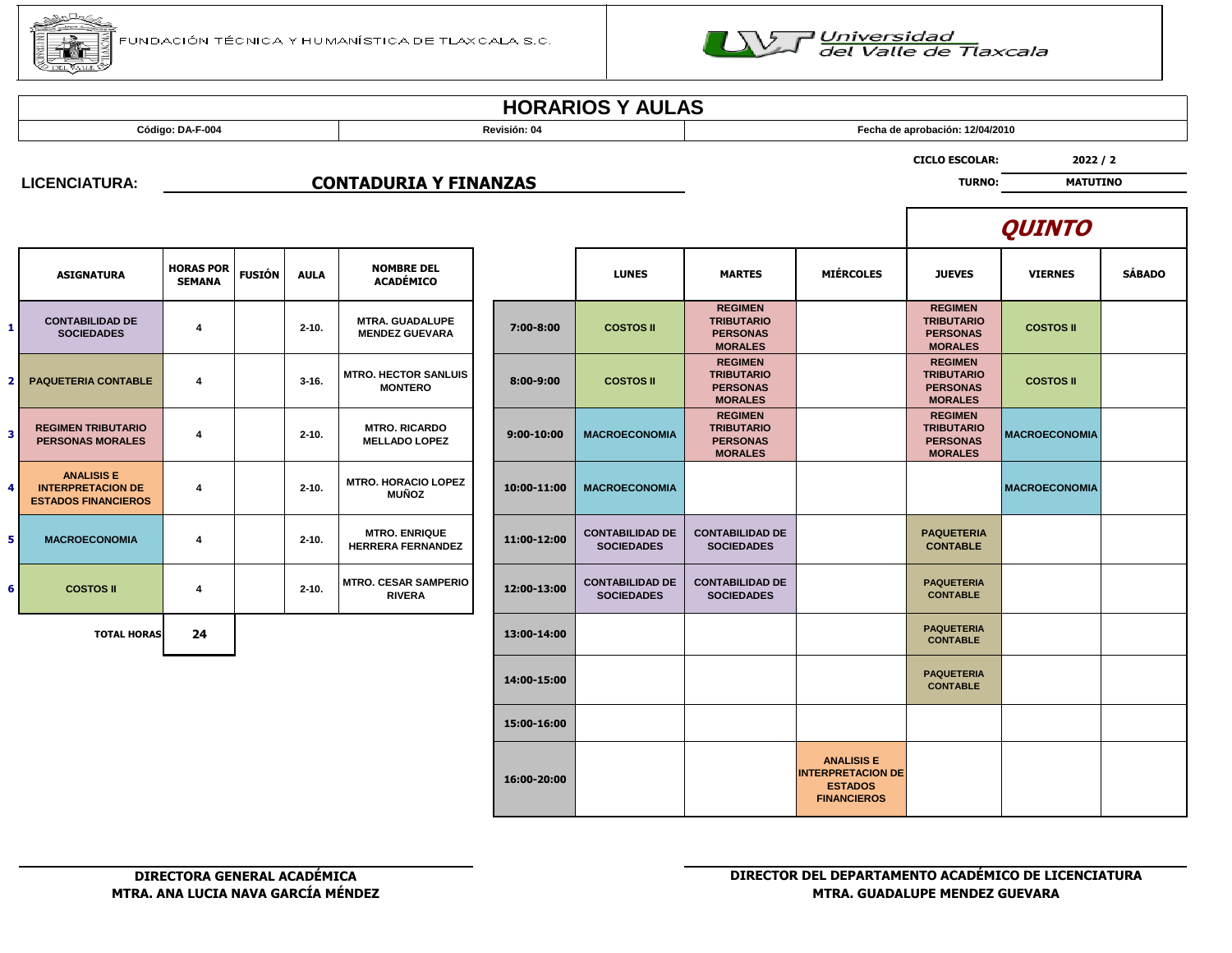



# **HORARIOS Y AULAS**

**Código: DA-F-004 Revisión: 04 Fecha de aprobación: 12/04/2010**

**CICLO ESCOLAR: 2022 / 2** 

### **LICENCIATURA:**

**1**

**3**

**4**

### **CONTADURIA Y FINANZAS TURNO:** MATUTINO

|    |                                                                             |                                   |               |             |                                                  |             |                                             |                                                                          |                                                                                       |                                                                          | <b>QUINTO</b>        |               |
|----|-----------------------------------------------------------------------------|-----------------------------------|---------------|-------------|--------------------------------------------------|-------------|---------------------------------------------|--------------------------------------------------------------------------|---------------------------------------------------------------------------------------|--------------------------------------------------------------------------|----------------------|---------------|
|    | <b>ASIGNATURA</b>                                                           | <b>HORAS POR</b><br><b>SEMANA</b> | <b>FUSIÓN</b> | <b>AULA</b> | <b>NOMBRE DEL</b><br><b>ACADÉMICO</b>            |             | <b>LUNES</b>                                | <b>MARTES</b>                                                            | <b>MIÉRCOLES</b>                                                                      | <b>JUEVES</b>                                                            | <b>VIERNES</b>       | <b>SÁBADO</b> |
|    | <b>CONTABILIDAD DE</b><br><b>SOCIEDADES</b>                                 | 4                                 |               | $2 - 10.$   | <b>MTRA. GUADALUPE</b><br><b>MENDEZ GUEVARA</b>  | 7:00-8:00   | <b>COSTOS II</b>                            | <b>REGIMEN</b><br><b>TRIBUTARIO</b><br><b>PERSONAS</b><br><b>MORALES</b> |                                                                                       | <b>REGIMEN</b><br><b>TRIBUTARIO</b><br><b>PERSONAS</b><br><b>MORALES</b> | <b>COSTOS II</b>     |               |
|    | <b>PAQUETERIA CONTABLE</b>                                                  | 4                                 |               | $3 - 16.$   | <b>MTRO. HECTOR SANLUIS</b><br><b>MONTERO</b>    | 8:00-9:00   | <b>COSTOS II</b>                            | <b>REGIMEN</b><br><b>TRIBUTARIO</b><br><b>PERSONAS</b><br><b>MORALES</b> |                                                                                       | <b>REGIMEN</b><br><b>TRIBUTARIO</b><br><b>PERSONAS</b><br><b>MORALES</b> | <b>COSTOS II</b>     |               |
|    | <b>REGIMEN TRIBUTARIO</b><br><b>PERSONAS MORALES</b>                        | 4                                 |               | $2 - 10.$   | <b>MTRO. RICARDO</b><br><b>MELLADO LOPEZ</b>     | 9:00-10:00  | <b>MACROECONOMIA</b>                        | <b>REGIMEN</b><br><b>TRIBUTARIO</b><br><b>PERSONAS</b><br><b>MORALES</b> |                                                                                       | <b>REGIMEN</b><br><b>TRIBUTARIO</b><br><b>PERSONAS</b><br><b>MORALES</b> | <b>MACROECONOMIA</b> |               |
|    | <b>ANALISIS E</b><br><b>INTERPRETACION DE</b><br><b>ESTADOS FINANCIEROS</b> | 4                                 |               | $2 - 10.$   | <b>MTRO. HORACIO LOPEZ</b><br><b>MUÑOZ</b>       | 10:00-11:00 | <b>MACROECONOMIA</b>                        |                                                                          |                                                                                       |                                                                          | <b>MACROECONOMIA</b> |               |
| 5  | <b>MACROECONOMIA</b>                                                        | 4                                 |               | $2 - 10.$   | <b>MTRO, ENRIQUE</b><br><b>HERRERA FERNANDEZ</b> | 11:00-12:00 | <b>CONTABILIDAD DE</b><br><b>SOCIEDADES</b> | <b>CONTABILIDAD DE</b><br><b>SOCIEDADES</b>                              |                                                                                       | <b>PAQUETERIA</b><br><b>CONTABLE</b>                                     |                      |               |
| 6. | <b>COSTOS II</b>                                                            | 4                                 |               | $2 - 10.$   | <b>MTRO, CESAR SAMPERIO</b><br><b>RIVERA</b>     | 12:00-13:00 | <b>CONTABILIDAD DE</b><br><b>SOCIEDADES</b> | <b>CONTABILIDAD DE</b><br><b>SOCIEDADES</b>                              |                                                                                       | <b>PAQUETERIA</b><br><b>CONTABLE</b>                                     |                      |               |
|    | <b>TOTAL HORAS</b>                                                          | 24                                |               |             |                                                  | 13:00-14:00 |                                             |                                                                          |                                                                                       | <b>PAQUETERIA</b><br><b>CONTABLE</b>                                     |                      |               |
|    |                                                                             |                                   |               |             |                                                  | 14:00-15:00 |                                             |                                                                          |                                                                                       | <b>PAQUETERIA</b><br><b>CONTABLE</b>                                     |                      |               |
|    |                                                                             |                                   |               |             |                                                  | 15:00-16:00 |                                             |                                                                          |                                                                                       |                                                                          |                      |               |
|    |                                                                             |                                   |               |             |                                                  | 16:00-20:00 |                                             |                                                                          | <b>ANALISIS E</b><br><b>INTERPRETACION DE</b><br><b>ESTADOS</b><br><b>FINANCIEROS</b> |                                                                          |                      |               |